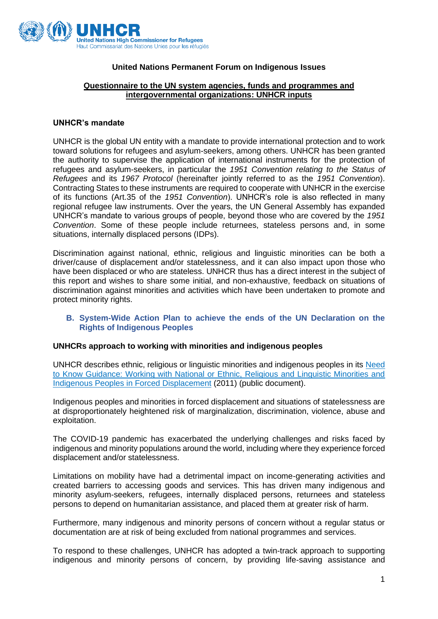

# **United Nations Permanent Forum on Indigenous Issues**

# **Questionnaire to the UN system agencies, funds and programmes and intergovernmental organizations: UNHCR inputs**

## **UNHCR's mandate**

UNHCR is the global UN entity with a mandate to provide international protection and to work toward solutions for refugees and asylum-seekers, among others. UNHCR has been granted the authority to supervise the application of international instruments for the protection of refugees and asylum-seekers, in particular the *1951 Convention relating to the Status of Refugees* and its *1967 Protocol* (hereinafter jointly referred to as the *1951 Convention*). Contracting States to these instruments are required to cooperate with UNHCR in the exercise of its functions (Art.35 of the *1951 Convention*). UNHCR's role is also reflected in many regional refugee law instruments. Over the years, the UN General Assembly has expanded UNHCR's mandate to various groups of people, beyond those who are covered by the *1951 Convention*. Some of these people include returnees, stateless persons and, in some situations, internally displaced persons (IDPs).

Discrimination against national, ethnic, religious and linguistic minorities can be both a driver/cause of displacement and/or statelessness, and it can also impact upon those who have been displaced or who are stateless. UNHCR thus has a direct interest in the subject of this report and wishes to share some initial, and non-exhaustive, feedback on situations of discrimination against minorities and activities which have been undertaken to promote and protect minority rights.

# **B. System-Wide Action Plan to achieve the ends of the UN Declaration on the Rights of Indigenous Peoples**

#### **UNHCRs approach to working with minorities and indigenous peoples**

UNHCR describes ethnic, religious or linguistic minorities and indigenous peoples in its [Need](https://cms.emergency.unhcr.org/documents/11982/44027/Working+with+National+or+Ethnic%2C+Religious%2C+and+Linguistic+Minorities+and+Indigenous+Peoples++in+Forced+Displacement/6d287824-77e6-4423-ba94-e35a8a5f692f)  [to Know Guidance: Working with National or Ethnic, Religious and Linguistic Minorities and](https://cms.emergency.unhcr.org/documents/11982/44027/Working+with+National+or+Ethnic%2C+Religious%2C+and+Linguistic+Minorities+and+Indigenous+Peoples++in+Forced+Displacement/6d287824-77e6-4423-ba94-e35a8a5f692f)  [Indigenous Peoples in Forced Displacement](https://cms.emergency.unhcr.org/documents/11982/44027/Working+with+National+or+Ethnic%2C+Religious%2C+and+Linguistic+Minorities+and+Indigenous+Peoples++in+Forced+Displacement/6d287824-77e6-4423-ba94-e35a8a5f692f) (2011) (public document).

Indigenous peoples and minorities in forced displacement and situations of statelessness are at disproportionately heightened risk of marginalization, discrimination, violence, abuse and exploitation.

The COVID-19 pandemic has exacerbated the underlying challenges and risks faced by indigenous and minority populations around the world, including where they experience forced displacement and/or statelessness.

Limitations on mobility have had a detrimental impact on income-generating activities and created barriers to accessing goods and services. This has driven many indigenous and minority asylum-seekers, refugees, internally displaced persons, returnees and stateless persons to depend on humanitarian assistance, and placed them at greater risk of harm.

Furthermore, many indigenous and minority persons of concern without a regular status or documentation are at risk of being excluded from national programmes and services.

To respond to these challenges, UNHCR has adopted a twin-track approach to supporting indigenous and minority persons of concern, by providing life-saving assistance and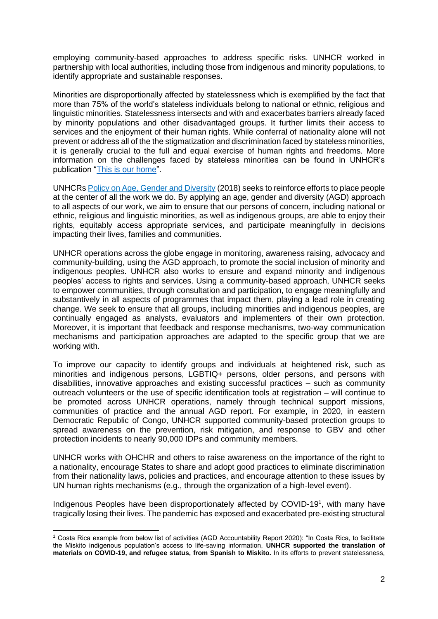employing community-based approaches to address specific risks. UNHCR worked in partnership with local authorities, including those from indigenous and minority populations, to identify appropriate and sustainable responses.

Minorities are disproportionally affected by statelessness which is exemplified by the fact that more than 75% of the world's stateless individuals belong to national or ethnic, religious and linguistic minorities. Statelessness intersects and with and exacerbates barriers already faced by minority populations and other disadvantaged groups. It further limits their access to services and the enjoyment of their human rights. While conferral of nationality alone will not prevent or address all of the the stigmatization and discrimination faced by stateless minorities, it is generally crucial to the full and equal exercise of human rights and freedoms. More information on the challenges faced by stateless minorities can be found in UNHCR's publication ["This is our home"](https://www.unhcr.org/ibelong/wp-content/uploads/UNHCR_EN2_2017IBELONG_Report_ePub.pdf).

UNHCR[s Policy on Age, Gender and Diversity](https://www.unhcr.org/protection/women/5aa13c0c7/policy-age-gender-diversity-accountability-2018.html) (2018) seeks to reinforce efforts to place people at the center of all the work we do. By applying an age, gender and diversity (AGD) approach to all aspects of our work, we aim to ensure that our persons of concern, including national or ethnic, religious and linguistic minorities, as well as indigenous groups, are able to enjoy their rights, equitably access appropriate services, and participate meaningfully in decisions impacting their lives, families and communities.

UNHCR operations across the globe engage in monitoring, awareness raising, advocacy and community-building, using the AGD approach, to promote the social inclusion of minority and indigenous peoples. UNHCR also works to ensure and expand minority and indigenous peoples' access to rights and services. Using a community-based approach, UNHCR seeks to empower communities, through consultation and participation, to engage meaningfully and substantively in all aspects of programmes that impact them, playing a lead role in creating change. We seek to ensure that all groups, including minorities and indigenous peoples, are continually engaged as analysts, evaluators and implementers of their own protection. Moreover, it is important that feedback and response mechanisms, two-way communication mechanisms and participation approaches are adapted to the specific group that we are working with.

To improve our capacity to identify groups and individuals at heightened risk, such as minorities and indigenous persons, LGBTIQ+ persons, older persons, and persons with disabilities, innovative approaches and existing successful practices – such as community outreach volunteers or the use of specific identification tools at registration – will continue to be promoted across UNHCR operations, namely through technical support missions, communities of practice and the annual AGD report. For example, in 2020, in eastern Democratic Republic of Congo, UNHCR supported community-based protection groups to spread awareness on the prevention, risk mitigation, and response to GBV and other protection incidents to nearly 90,000 IDPs and community members.

UNHCR works with OHCHR and others to raise awareness on the importance of the right to a nationality, encourage States to share and adopt good practices to eliminate discrimination from their nationality laws, policies and practices, and encourage attention to these issues by UN human rights mechanisms (e.g., through the organization of a high-level event).

Indigenous Peoples have been disproportionately affected by COVID-19<sup>1</sup>, with many have tragically losing their lives. The pandemic has exposed and exacerbated pre-existing structural

<sup>1</sup> Costa Rica example from below list of activities (AGD Accountability Report 2020): "In Costa Rica, to facilitate the Miskito indigenous population's access to life-saving information, **UNHCR supported the translation of materials on COVID-19, and refugee status, from Spanish to Miskito.** In its efforts to prevent statelessness,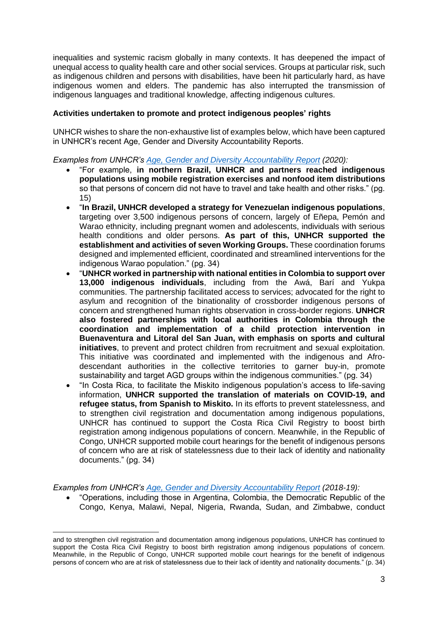inequalities and systemic racism globally in many contexts. It has deepened the impact of unequal access to quality health care and other social services. Groups at particular risk, such as indigenous children and persons with disabilities, have been hit particularly hard, as have indigenous women and elders. The pandemic has also interrupted the transmission of indigenous languages and traditional knowledge, affecting indigenous cultures.

## **Activities undertaken to promote and protect indigenous peoples' rights**

UNHCR wishes to share the non-exhaustive list of examples below, which have been captured in UNHCR's recent Age, Gender and Diversity Accountability Reports.

*Examples from UNHCR's [Age, Gender and Diversity Accountability Report](https://www.unhcr.org/en-us/publications/brochures/60df385f1e/age-gender-diversity-accountability-report-2020.html) (2020):*

- "For example, **in northern Brazil, UNHCR and partners reached indigenous populations using mobile registration exercises and nonfood item distributions**  so that persons of concern did not have to travel and take health and other risks." (pg. 15)
- "**In Brazil, UNHCR developed a strategy for Venezuelan indigenous populations**, targeting over 3,500 indigenous persons of concern, largely of Eñepa, Pemón and Warao ethnicity, including pregnant women and adolescents, individuals with serious health conditions and older persons. **As part of this, UNHCR supported the establishment and activities of seven Working Groups.** These coordination forums designed and implemented efficient, coordinated and streamlined interventions for the indigenous Warao population." (pg. 34)
- "**UNHCR worked in partnership with national entities in Colombia to support over 13,000 indigenous individuals**, including from the Awá, Barí and Yukpa communities. The partnership facilitated access to services; advocated for the right to asylum and recognition of the binationality of crossborder indigenous persons of concern and strengthened human rights observation in cross-border regions. **UNHCR also fostered partnerships with local authorities in Colombia through the coordination and implementation of a child protection intervention in Buenaventura and Litoral del San Juan, with emphasis on sports and cultural initiatives**, to prevent and protect children from recruitment and sexual exploitation. This initiative was coordinated and implemented with the indigenous and Afrodescendant authorities in the collective territories to garner buy-in, promote sustainability and target AGD groups within the indigenous communities." (pg. 34)
- "In Costa Rica, to facilitate the Miskito indigenous population's access to life-saving information, **UNHCR supported the translation of materials on COVID-19, and refugee status, from Spanish to Miskito.** In its efforts to prevent statelessness, and to strengthen civil registration and documentation among indigenous populations, UNHCR has continued to support the Costa Rica Civil Registry to boost birth registration among indigenous populations of concern. Meanwhile, in the Republic of Congo, UNHCR supported mobile court hearings for the benefit of indigenous persons of concern who are at risk of statelessness due to their lack of identity and nationality documents." (pg. 34)

*Examples from UNHCR's [Age, Gender and Diversity Accountability Report](https://www.unhcr.org/protection/women/5c49aa9b4/unhcr-age-gender-diversity-accountability-report-2017.html) (2018-19):*

• "Operations, including those in Argentina, Colombia, the Democratic Republic of the Congo, Kenya, Malawi, Nepal, Nigeria, Rwanda, Sudan, and Zimbabwe, conduct

and to strengthen civil registration and documentation among indigenous populations, UNHCR has continued to support the Costa Rica Civil Registry to boost birth registration among indigenous populations of concern. Meanwhile, in the Republic of Congo, UNHCR supported mobile court hearings for the benefit of indigenous persons of concern who are at risk of statelessness due to their lack of identity and nationality documents." (p. 34)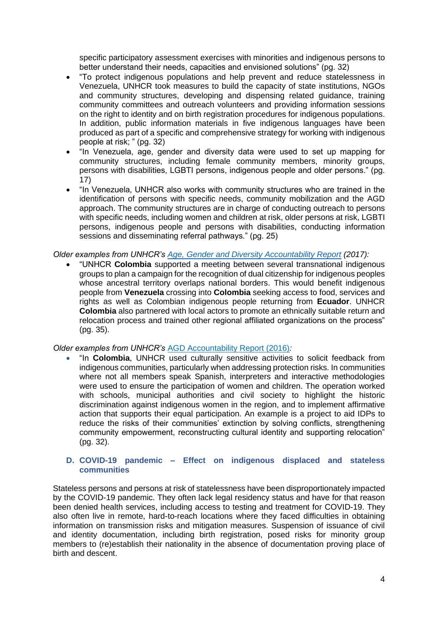specific participatory assessment exercises with minorities and indigenous persons to better understand their needs, capacities and envisioned solutions" (pg. 32)

- "To protect indigenous populations and help prevent and reduce statelessness in Venezuela, UNHCR took measures to build the capacity of state institutions, NGOs and community structures, developing and dispensing related guidance, training community committees and outreach volunteers and providing information sessions on the right to identity and on birth registration procedures for indigenous populations. In addition, public information materials in five indigenous languages have been produced as part of a specific and comprehensive strategy for working with indigenous people at risk; " (pg. 32)
- "In Venezuela, age, gender and diversity data were used to set up mapping for community structures, including female community members, minority groups, persons with disabilities, LGBTI persons, indigenous people and older persons." (pg. 17)
- "In Venezuela, UNHCR also works with community structures who are trained in the identification of persons with specific needs, community mobilization and the AGD approach. The community structures are in charge of conducting outreach to persons with specific needs, including women and children at risk, older persons at risk, LGBTI persons, indigenous people and persons with disabilities, conducting information sessions and disseminating referral pathways." (pg. 25)

# *Older examples from UNHCR's [Age, Gender and Diversity Accountability Report](https://www.unhcr.org/protection/women/5c49aa9b4/unhcr-age-gender-diversity-accountability-report-2017.html) (2017):*

• "UNHCR **Colombia** supported a meeting between several transnational indigenous groups to plan a campaign for the recognition of dual citizenship for indigenous peoples whose ancestral territory overlaps national borders. This would benefit indigenous people from **Venezuela** crossing into **Colombia** seeking access to food, services and rights as well as Colombian indigenous people returning from **Ecuador**. UNHCR **Colombia** also partnered with local actors to promote an ethnically suitable return and relocation process and trained other regional affiliated organizations on the process" (pg. 35).

# *Older examples from UNHCR's* [AGD Accountability Report \(2016\)](https://www.unhcr.org/595cdf5c7.pdf)*:*

• "In **Colombia**, UNHCR used culturally sensitive activities to solicit feedback from indigenous communities, particularly when addressing protection risks. In communities where not all members speak Spanish, interpreters and interactive methodologies were used to ensure the participation of women and children. The operation worked with schools, municipal authorities and civil society to highlight the historic discrimination against indigenous women in the region, and to implement affirmative action that supports their equal participation. An example is a project to aid IDPs to reduce the risks of their communities' extinction by solving conflicts, strengthening community empowerment, reconstructing cultural identity and supporting relocation" (pg. 32).

## **D. COVID-19 pandemic – Effect on indigenous displaced and stateless communities**

Stateless persons and persons at risk of statelessness have been disproportionately impacted by the COVID-19 pandemic. They often lack legal residency status and have for that reason been denied health services, including access to testing and treatment for COVID-19. They also often live in remote, hard-to-reach locations where they faced difficulties in obtaining information on transmission risks and mitigation measures. Suspension of issuance of civil and identity documentation, including birth registration, posed risks for minority group members to (re)establish their nationality in the absence of documentation proving place of birth and descent.